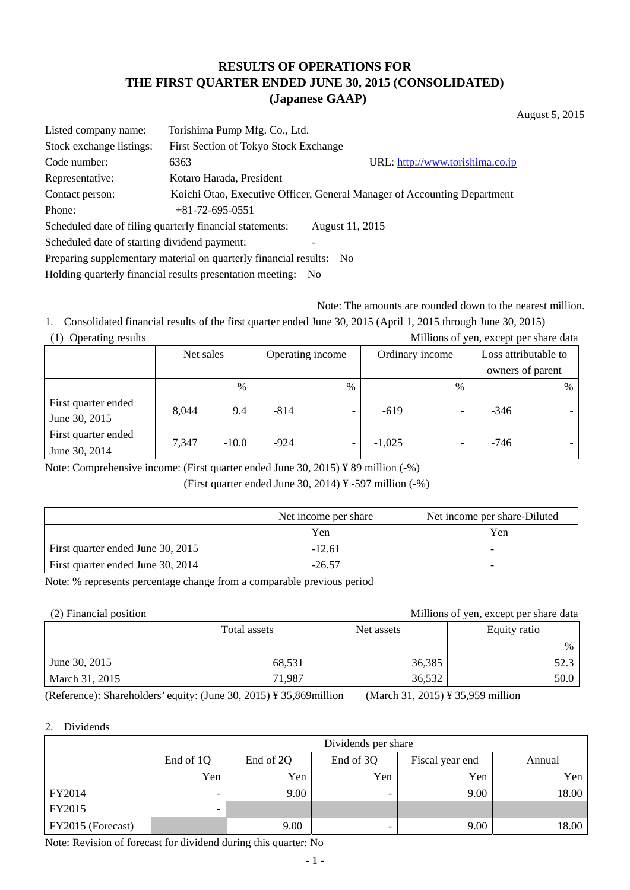# **RESULTS OF OPERATIONS FOR THE FIRST QUARTER ENDED JUNE 30, 2015 (CONSOLIDATED) (Japanese GAAP)**

August 5, 2015

| Listed company name:                                                        | Torishima Pump Mfg. Co., Ltd.                            |                                                                          |  |  |  |  |
|-----------------------------------------------------------------------------|----------------------------------------------------------|--------------------------------------------------------------------------|--|--|--|--|
| Stock exchange listings:                                                    | First Section of Tokyo Stock Exchange                    |                                                                          |  |  |  |  |
| Code number:                                                                | 6363                                                     | URL: http://www.torishima.co.jp                                          |  |  |  |  |
| Representative:                                                             | Kotaro Harada, President                                 |                                                                          |  |  |  |  |
| Contact person:                                                             |                                                          | Koichi Otao, Executive Officer, General Manager of Accounting Department |  |  |  |  |
| Phone:                                                                      | $+81-72-695-0551$                                        |                                                                          |  |  |  |  |
|                                                                             | Scheduled date of filing quarterly financial statements: | August 11, 2015                                                          |  |  |  |  |
|                                                                             | Scheduled date of starting dividend payment:             |                                                                          |  |  |  |  |
| Preparing supplementary material on quarterly financial results: No         |                                                          |                                                                          |  |  |  |  |
| Holding quarterly financial results presentation meeting:<br>N <sub>0</sub> |                                                          |                                                                          |  |  |  |  |

Note: The amounts are rounded down to the nearest million.

1. Consolidated financial results of the first quarter ended June 30, 2015 (April 1, 2015 through June 30, 2015) (1) Operating results Millions of yen, except per share data

| $(1)$ Operating results<br><b>MILLIONS</b> OF you, except per share data |           |         |                  |                          |                 |                          |                      |   |
|--------------------------------------------------------------------------|-----------|---------|------------------|--------------------------|-----------------|--------------------------|----------------------|---|
|                                                                          | Net sales |         | Operating income |                          | Ordinary income |                          | Loss attributable to |   |
|                                                                          |           |         |                  |                          |                 |                          | owners of parent     |   |
|                                                                          |           | $\%$    |                  | %                        |                 | $\frac{0}{0}$            |                      | % |
| First quarter ended<br>June 30, 2015                                     | 8.044     | 9.4     | $-814$           | -                        | $-619$          | $\overline{\phantom{a}}$ | $-346$               |   |
| First quarter ended                                                      | 7,347     | $-10.0$ | $-924$           | $\overline{\phantom{0}}$ | $-1,025$        | -                        | $-746$               |   |
| June 30, 2014                                                            |           |         |                  |                          |                 |                          |                      |   |

Note: Comprehensive income: (First quarter ended June 30, 2015) ¥ 89 million (-%)

(First quarter ended June 30, 2014)  $\frac{1}{2}$  -597 million (-%)

|                                   | Net income per share | Net income per share-Diluted |
|-----------------------------------|----------------------|------------------------------|
|                                   | Yen                  | Yen                          |
| First quarter ended June 30, 2015 | $-12.61$             |                              |
| First quarter ended June 30, 2014 | $-26.57$             |                              |

Note: % represents percentage change from a comparable previous period

(2) Financial position Millions of yen, except per share data

|                | Total assets | Net assets | Equity ratio |
|----------------|--------------|------------|--------------|
|                |              |            | $\%$         |
| June 30, 2015  | 68,531       | 36,385     | 52.3         |
| March 31, 2015 | 71,987       | 36,532     | 50.0         |

(Reference): Shareholders' equity: (June 30, 2015) ¥ 35,869million (March 31, 2015) ¥ 35,959 million

#### 2. Dividends

|                   | Dividends per share |           |                                        |      |       |  |  |  |
|-------------------|---------------------|-----------|----------------------------------------|------|-------|--|--|--|
|                   | End of 1Q           | End of 2Q | End of 3Q<br>Fiscal year end<br>Annual |      |       |  |  |  |
|                   | Yen                 | Yen       | Yen                                    | Yen  | Yen   |  |  |  |
| FY2014            | -                   | 9.00      |                                        | 9.00 | 18.00 |  |  |  |
| FY2015            | -                   |           |                                        |      |       |  |  |  |
| FY2015 (Forecast) |                     | 9.00      |                                        | 9.00 | 18.00 |  |  |  |

Note: Revision of forecast for dividend during this quarter: No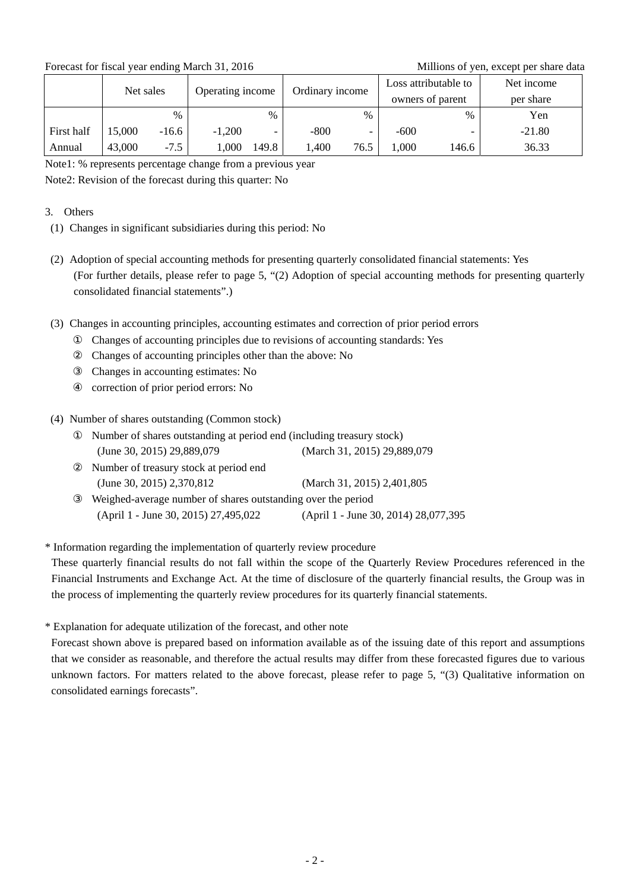Forecast for fiscal year ending March 31, 2016 Millions of yen, except per share data

|            | Net sales |         | Operating income |       |                 |                          | Loss attributable to |       | Net income |
|------------|-----------|---------|------------------|-------|-----------------|--------------------------|----------------------|-------|------------|
|            |           |         |                  |       | Ordinary income |                          | owners of parent     |       | per share  |
|            |           | $\%$    |                  | $\%$  |                 | $\%$                     |                      | $\%$  | Yen        |
| First half | 15,000    | $-16.6$ | $-1,200$         | -     | $-800$          | $\overline{\phantom{0}}$ | $-600$               |       | $-21.80$   |
| Annual     | 43,000    | $-7.5$  | .000             | 149.8 | ,400            | 76.5                     | .000.                | 146.6 | 36.33      |

Note1: % represents percentage change from a previous year

Note2: Revision of the forecast during this quarter: No

### 3. Others

- (1) Changes in significant subsidiaries during this period: No
- (2) Adoption of special accounting methods for presenting quarterly consolidated financial statements: Yes (For further details, please refer to page 5, "(2) Adoption of special accounting methods for presenting quarterly consolidated financial statements".)
- (3) Changes in accounting principles, accounting estimates and correction of prior period errors Changes of accounting principles due to revisions of accounting standards: Yes Changes of accounting principles other than the above: No Changes in accounting estimates: No correction of prior period errors: No
- (4) Number of shares outstanding (Common stock)

| Number of shares outstanding at period end (including treasury stock) |  |  |  |  |  |  |
|-----------------------------------------------------------------------|--|--|--|--|--|--|
| (March 31, 2015) 29,889,079                                           |  |  |  |  |  |  |
| Number of treasury stock at period end                                |  |  |  |  |  |  |
| (March 31, 2015) 2,401,805                                            |  |  |  |  |  |  |
| Weighed-average number of shares outstanding over the period          |  |  |  |  |  |  |
| (April 1 - June 30, 2014) 28,077,395                                  |  |  |  |  |  |  |
|                                                                       |  |  |  |  |  |  |

\* Information regarding the implementation of quarterly review procedure

These quarterly financial results do not fall within the scope of the Quarterly Review Procedures referenced in the Financial Instruments and Exchange Act. At the time of disclosure of the quarterly financial results, the Group was in the process of implementing the quarterly review procedures for its quarterly financial statements.

\* Explanation for adequate utilization of the forecast, and other note

Forecast shown above is prepared based on information available as of the issuing date of this report and assumptions that we consider as reasonable, and therefore the actual results may differ from these forecasted figures due to various unknown factors. For matters related to the above forecast, please refer to page 5, "(3) Qualitative information on consolidated earnings forecasts".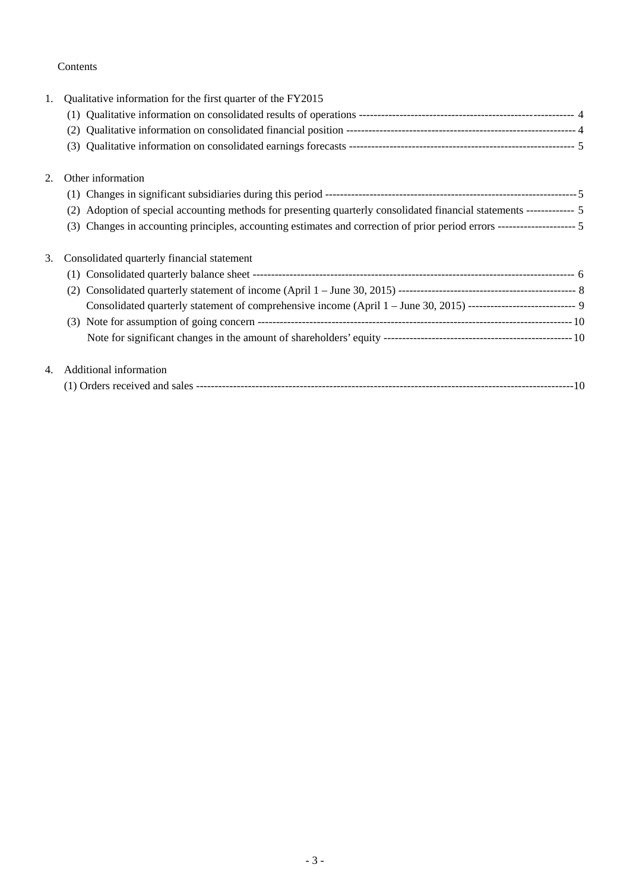## Contents

| 1. | Qualitative information for the first quarter of the FY2015                                                                 |
|----|-----------------------------------------------------------------------------------------------------------------------------|
|    |                                                                                                                             |
|    | (2)                                                                                                                         |
|    | (3)                                                                                                                         |
| 2. | Other information                                                                                                           |
|    |                                                                                                                             |
|    | Adoption of special accounting methods for presenting quarterly consolidated financial statements ------------- 5<br>(2)    |
|    | Changes in accounting principles, accounting estimates and correction of prior period errors --------------------- 5<br>(3) |
| 3. | Consolidated quarterly financial statement                                                                                  |
|    | (1)                                                                                                                         |
|    | (2)                                                                                                                         |
|    | Consolidated quarterly statement of comprehensive income (April 1 - June 30, 2015) ----------------------------- 9          |
|    |                                                                                                                             |
|    |                                                                                                                             |
| 4. | Additional information                                                                                                      |
|    |                                                                                                                             |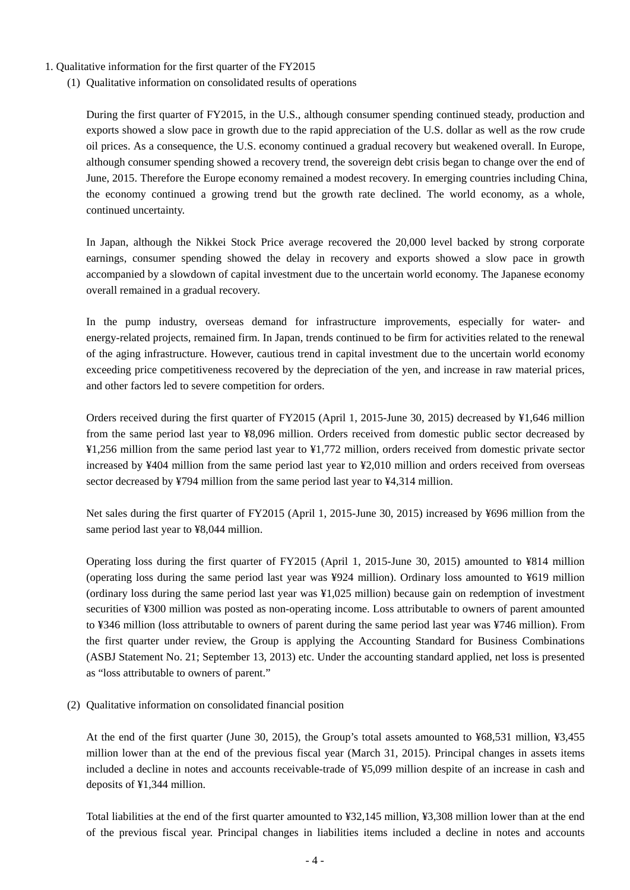- 1. Qualitative information for the first quarter of the FY2015
	- (1) Qualitative information on consolidated results of operations

During the first quarter of FY2015, in the U.S., although consumer spending continued steady, production and exports showed a slow pace in growth due to the rapid appreciation of the U.S. dollar as well as the row crude oil prices. As a consequence, the U.S. economy continued a gradual recovery but weakened overall. In Europe, although consumer spending showed a recovery trend, the sovereign debt crisis began to change over the end of June, 2015. Therefore the Europe economy remained a modest recovery. In emerging countries including China, the economy continued a growing trend but the growth rate declined. The world economy, as a whole, continued uncertainty.

In Japan, although the Nikkei Stock Price average recovered the 20,000 level backed by strong corporate earnings, consumer spending showed the delay in recovery and exports showed a slow pace in growth accompanied by a slowdown of capital investment due to the uncertain world economy. The Japanese economy overall remained in a gradual recovery.

In the pump industry, overseas demand for infrastructure improvements, especially for water- and energy-related projects, remained firm. In Japan, trends continued to be firm for activities related to the renewal of the aging infrastructure. However, cautious trend in capital investment due to the uncertain world economy exceeding price competitiveness recovered by the depreciation of the yen, and increase in raw material prices, and other factors led to severe competition for orders.

Orders received during the first quarter of FY2015 (April 1, 2015-June 30, 2015) decreased by ¥1,646 million from the same period last year to ¥8,096 million. Orders received from domestic public sector decreased by ¥1,256 million from the same period last year to ¥1,772 million, orders received from domestic private sector increased by ¥404 million from the same period last year to ¥2,010 million and orders received from overseas sector decreased by ¥794 million from the same period last year to ¥4,314 million.

Net sales during the first quarter of FY2015 (April 1, 2015-June 30, 2015) increased by ¥696 million from the same period last year to ¥8,044 million.

Operating loss during the first quarter of FY2015 (April 1, 2015-June 30, 2015) amounted to ¥814 million (operating loss during the same period last year was ¥924 million). Ordinary loss amounted to ¥619 million (ordinary loss during the same period last year was ¥1,025 million) because gain on redemption of investment securities of ¥300 million was posted as non-operating income. Loss attributable to owners of parent amounted to ¥346 million (loss attributable to owners of parent during the same period last year was ¥746 million). From the first quarter under review, the Group is applying the Accounting Standard for Business Combinations (ASBJ Statement No. 21; September 13, 2013) etc. Under the accounting standard applied, net loss is presented as "loss attributable to owners of parent."

(2) Qualitative information on consolidated financial position

At the end of the first quarter (June 30, 2015), the Group's total assets amounted to ¥68,531 million, ¥3,455 million lower than at the end of the previous fiscal year (March 31, 2015). Principal changes in assets items included a decline in notes and accounts receivable-trade of ¥5,099 million despite of an increase in cash and deposits of ¥1,344 million.

Total liabilities at the end of the first quarter amounted to ¥32,145 million, ¥3,308 million lower than at the end of the previous fiscal year. Principal changes in liabilities items included a decline in notes and accounts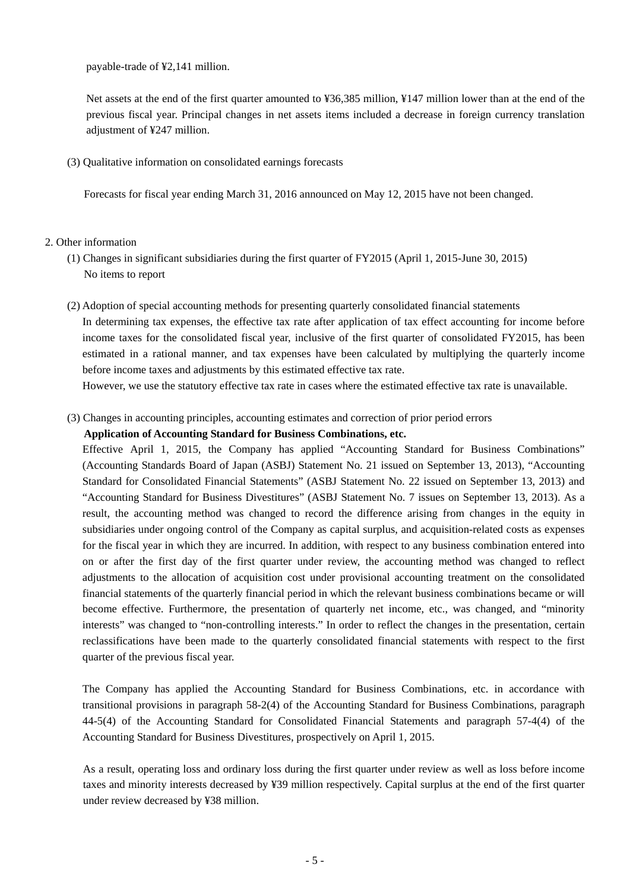payable-trade of ¥2,141 million.

Net assets at the end of the first quarter amounted to ¥36,385 million, ¥147 million lower than at the end of the previous fiscal year. Principal changes in net assets items included a decrease in foreign currency translation adjustment of ¥247 million.

(3) Qualitative information on consolidated earnings forecasts

Forecasts for fiscal year ending March 31, 2016 announced on May 12, 2015 have not been changed.

#### 2. Other information

- (1) Changes in significant subsidiaries during the first quarter of FY2015 (April 1, 2015-June 30, 2015) No items to report
- (2) Adoption of special accounting methods for presenting quarterly consolidated financial statements In determining tax expenses, the effective tax rate after application of tax effect accounting for income before income taxes for the consolidated fiscal year, inclusive of the first quarter of consolidated FY2015, has been estimated in a rational manner, and tax expenses have been calculated by multiplying the quarterly income before income taxes and adjustments by this estimated effective tax rate.

However, we use the statutory effective tax rate in cases where the estimated effective tax rate is unavailable.

(3) Changes in accounting principles, accounting estimates and correction of prior period errors

#### **Application of Accounting Standard for Business Combinations, etc.**

Effective April 1, 2015, the Company has applied "Accounting Standard for Business Combinations" (Accounting Standards Board of Japan (ASBJ) Statement No. 21 issued on September 13, 2013), "Accounting Standard for Consolidated Financial Statements" (ASBJ Statement No. 22 issued on September 13, 2013) and "Accounting Standard for Business Divestitures" (ASBJ Statement No. 7 issues on September 13, 2013). As a result, the accounting method was changed to record the difference arising from changes in the equity in subsidiaries under ongoing control of the Company as capital surplus, and acquisition-related costs as expenses for the fiscal year in which they are incurred. In addition, with respect to any business combination entered into on or after the first day of the first quarter under review, the accounting method was changed to reflect adjustments to the allocation of acquisition cost under provisional accounting treatment on the consolidated financial statements of the quarterly financial period in which the relevant business combinations became or will become effective. Furthermore, the presentation of quarterly net income, etc., was changed, and "minority interests" was changed to "non-controlling interests." In order to reflect the changes in the presentation, certain reclassifications have been made to the quarterly consolidated financial statements with respect to the first quarter of the previous fiscal year.

The Company has applied the Accounting Standard for Business Combinations, etc. in accordance with transitional provisions in paragraph 58-2(4) of the Accounting Standard for Business Combinations, paragraph 44-5(4) of the Accounting Standard for Consolidated Financial Statements and paragraph 57-4(4) of the Accounting Standard for Business Divestitures, prospectively on April 1, 2015.

As a result, operating loss and ordinary loss during the first quarter under review as well as loss before income taxes and minority interests decreased by ¥39 million respectively. Capital surplus at the end of the first quarter under review decreased by ¥38 million.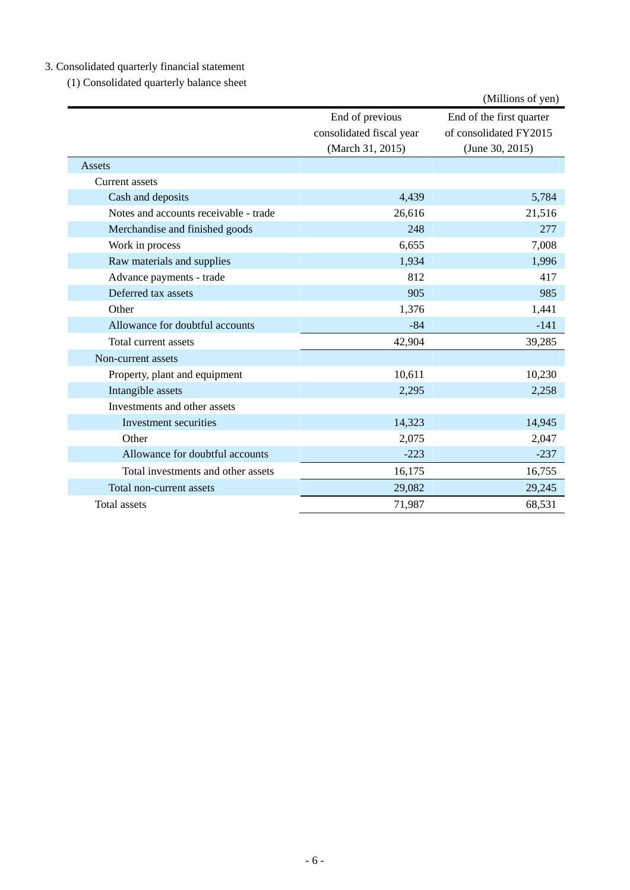# 3. Consolidated quarterly financial statement

(1) Consolidated quarterly balance sheet

|                                       |                                             | (Millions of yen)                                  |
|---------------------------------------|---------------------------------------------|----------------------------------------------------|
|                                       | End of previous<br>consolidated fiscal year | End of the first quarter<br>of consolidated FY2015 |
|                                       | (March 31, 2015)                            | (June 30, 2015)                                    |
| Assets                                |                                             |                                                    |
| Current assets                        |                                             |                                                    |
| Cash and deposits                     | 4,439                                       | 5,784                                              |
| Notes and accounts receivable - trade | 26,616                                      | 21,516                                             |
| Merchandise and finished goods        | 248                                         | 277                                                |
| Work in process                       | 6,655                                       | 7,008                                              |
| Raw materials and supplies            | 1,934                                       | 1,996                                              |
| Advance payments - trade              | 812                                         | 417                                                |
| Deferred tax assets                   | 905                                         | 985                                                |
| Other                                 | 1,376                                       | 1,441                                              |
| Allowance for doubtful accounts       | $-84$                                       | $-141$                                             |
| Total current assets                  | 42,904                                      | 39,285                                             |
| Non-current assets                    |                                             |                                                    |
| Property, plant and equipment         | 10,611                                      | 10,230                                             |
| Intangible assets                     | 2,295                                       | 2,258                                              |
| Investments and other assets          |                                             |                                                    |
| Investment securities                 | 14,323                                      | 14,945                                             |
| Other                                 | 2,075                                       | 2,047                                              |
| Allowance for doubtful accounts       | $-223$                                      | $-237$                                             |
| Total investments and other assets    | 16,175                                      | 16,755                                             |
| Total non-current assets              | 29,082                                      | 29,245                                             |
| Total assets                          | 71,987                                      | 68,531                                             |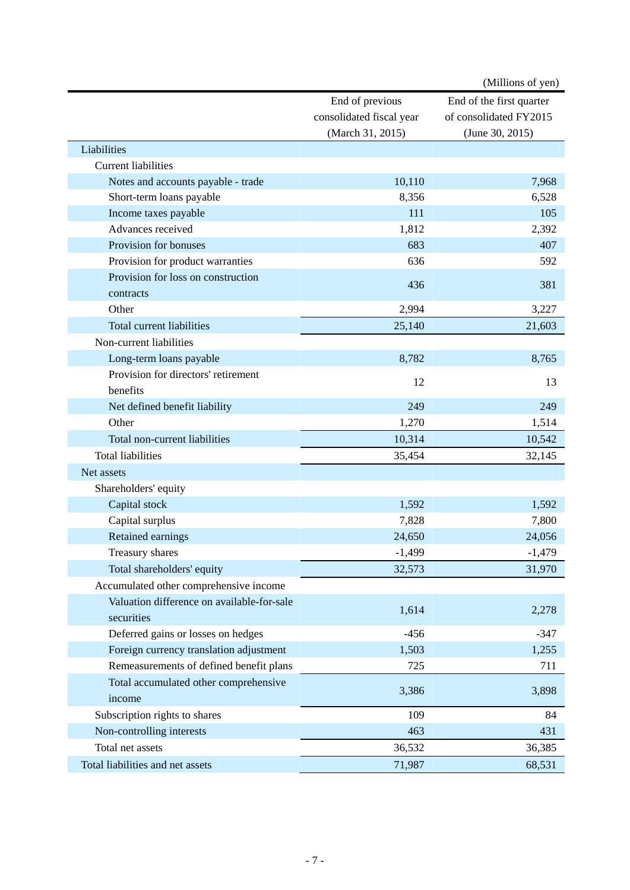|                                            |                          | (Millions of yen)        |
|--------------------------------------------|--------------------------|--------------------------|
|                                            | End of previous          | End of the first quarter |
|                                            | consolidated fiscal year | of consolidated FY2015   |
|                                            | (March 31, 2015)         | (June 30, 2015)          |
| Liabilities                                |                          |                          |
| <b>Current liabilities</b>                 |                          |                          |
| Notes and accounts payable - trade         | 10,110                   | 7,968                    |
| Short-term loans payable                   | 8,356                    | 6,528                    |
| Income taxes payable                       | 111                      | 105                      |
| Advances received                          | 1,812                    | 2,392                    |
| Provision for bonuses                      | 683                      | 407                      |
| Provision for product warranties           | 636                      | 592                      |
| Provision for loss on construction         |                          |                          |
| contracts                                  | 436                      | 381                      |
| Other                                      | 2,994                    | 3,227                    |
| <b>Total current liabilities</b>           | 25,140                   | 21,603                   |
| Non-current liabilities                    |                          |                          |
| Long-term loans payable                    | 8,782                    | 8,765                    |
| Provision for directors' retirement        |                          |                          |
| benefits                                   | 12                       | 13                       |
| Net defined benefit liability              | 249                      | 249                      |
| Other                                      | 1,270                    | 1,514                    |
| Total non-current liabilities              | 10,314                   | 10,542                   |
| <b>Total liabilities</b>                   | 35,454                   | 32,145                   |
| Net assets                                 |                          |                          |
| Shareholders' equity                       |                          |                          |
| Capital stock                              | 1,592                    | 1,592                    |
| Capital surplus                            | 7,828                    | 7,800                    |
| Retained earnings                          | 24,650                   | 24,056                   |
| Treasury shares                            | $-1,499$                 | $-1,479$                 |
| Total shareholders' equity                 | 32,573                   | 31,970                   |
| Accumulated other comprehensive income     |                          |                          |
| Valuation difference on available-for-sale |                          |                          |
| securities                                 | 1,614                    | 2,278                    |
| Deferred gains or losses on hedges         | $-456$                   | $-347$                   |
| Foreign currency translation adjustment    | 1,503                    | 1,255                    |
| Remeasurements of defined benefit plans    | 725                      | 711                      |
| Total accumulated other comprehensive      |                          |                          |
| income                                     | 3,386                    | 3,898                    |
| Subscription rights to shares              | 109                      | 84                       |
| Non-controlling interests                  | 463                      | 431                      |
| Total net assets                           | 36,532                   | 36,385                   |
| Total liabilities and net assets           | 71,987                   | 68,531                   |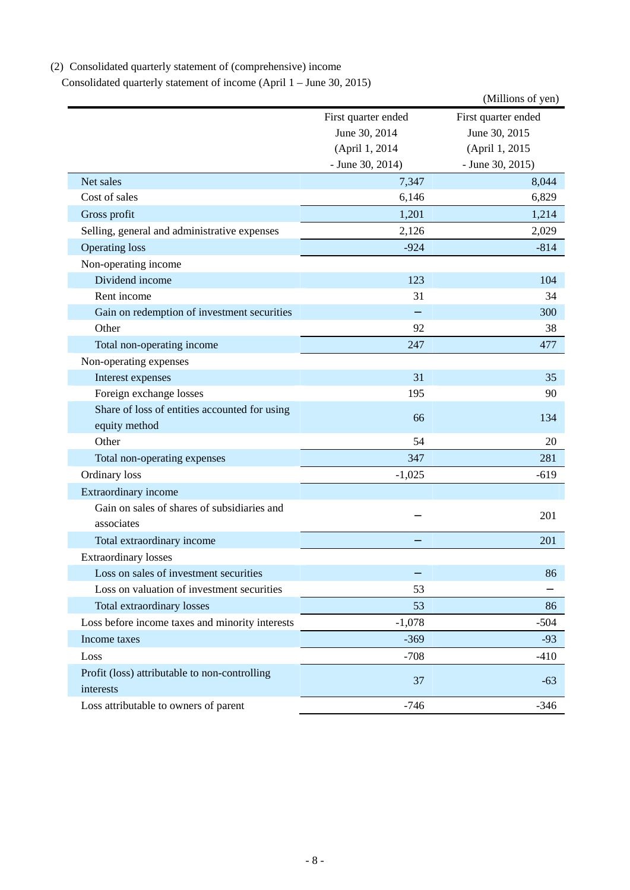# (2) Consolidated quarterly statement of (comprehensive) income

Consolidated quarterly statement of income (April 1 – June 30, 2015)

|                                                           |                     | (Millions of yen)   |
|-----------------------------------------------------------|---------------------|---------------------|
|                                                           | First quarter ended | First quarter ended |
|                                                           | June 30, 2014       | June 30, 2015       |
|                                                           | (April 1, 2014      | (April 1, 2015      |
|                                                           | $-$ June 30, 2014)  | $-$ June 30, 2015)  |
| Net sales                                                 | 7,347               | 8,044               |
| Cost of sales                                             | 6,146               | 6,829               |
| Gross profit                                              | 1,201               | 1,214               |
| Selling, general and administrative expenses              | 2,126               | 2,029               |
| <b>Operating loss</b>                                     | $-924$              | $-814$              |
| Non-operating income                                      |                     |                     |
| Dividend income                                           | 123                 | 104                 |
| Rent income                                               | 31                  | 34                  |
| Gain on redemption of investment securities               |                     | 300                 |
| Other                                                     | 92                  | 38                  |
| Total non-operating income                                | 247                 | 477                 |
| Non-operating expenses                                    |                     |                     |
| Interest expenses                                         | 31                  | 35                  |
| Foreign exchange losses                                   | 195                 | 90                  |
| Share of loss of entities accounted for using             | 66                  | 134                 |
| equity method                                             |                     |                     |
| Other                                                     | 54                  | 20                  |
| Total non-operating expenses                              | 347                 | 281                 |
| Ordinary loss                                             | $-1,025$            | $-619$              |
| Extraordinary income                                      |                     |                     |
| Gain on sales of shares of subsidiaries and<br>associates |                     | 201                 |
| Total extraordinary income                                |                     | 201                 |
| <b>Extraordinary losses</b>                               |                     |                     |
| Loss on sales of investment securities                    |                     | 86                  |
| Loss on valuation of investment securities                | 53                  |                     |
| <b>Total extraordinary losses</b>                         | 53                  | 86                  |
| Loss before income taxes and minority interests           | $-1,078$            | $-504$              |
| Income taxes                                              | $-369$              | $-93$               |
| Loss                                                      | $-708$              | $-410$              |
| Profit (loss) attributable to non-controlling             |                     |                     |
| interests                                                 | 37                  | $-63$               |
| Loss attributable to owners of parent                     | $-746$              | $-346$              |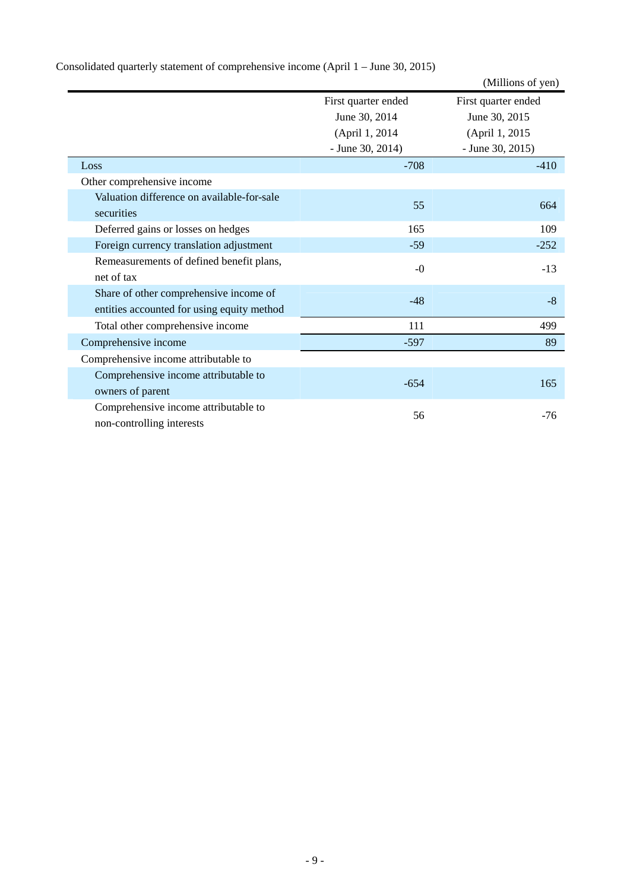|                                                                                      |                     | (Millions of yen)   |
|--------------------------------------------------------------------------------------|---------------------|---------------------|
|                                                                                      | First quarter ended | First quarter ended |
|                                                                                      | June 30, 2014       | June 30, 2015       |
|                                                                                      | (April 1, 2014)     | (April 1, 2015)     |
|                                                                                      | $-$ June 30, 2014)  | $-$ June 30, 2015)  |
| Loss                                                                                 | $-708$              | $-410$              |
| Other comprehensive income                                                           |                     |                     |
| Valuation difference on available-for-sale<br>securities                             | 55                  | 664                 |
| Deferred gains or losses on hedges                                                   | 165                 | 109                 |
| Foreign currency translation adjustment                                              | $-59$               | $-252$              |
| Remeasurements of defined benefit plans,<br>net of tax                               | $-0$                | $-13$               |
| Share of other comprehensive income of<br>entities accounted for using equity method | $-48$               | $-8$                |
| Total other comprehensive income                                                     | 111                 | 499                 |
| Comprehensive income                                                                 | $-597$              | 89                  |
| Comprehensive income attributable to                                                 |                     |                     |
| Comprehensive income attributable to<br>owners of parent                             | $-654$              | 165                 |
| Comprehensive income attributable to<br>non-controlling interests                    | 56                  | $-76$               |

# Consolidated quarterly statement of comprehensive income (April 1 – June 30, 2015)